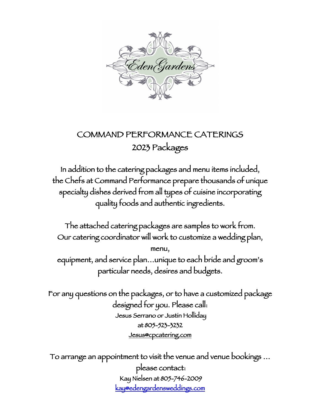

# COMMAND PERFORMANCE CATERINGS 2023 Packages

In addition to the catering packages and menu items included, the Chefs at Command Performance prepare thousands of unique specialty dishes derived from all types of cuisine incorporating quality foods and authentic ingredients.

The attached catering packages are samples to work from. Our catering coordinator will work to customize a wedding plan, menu, equipment, and service plan…unique to each bride and groom's particular needs, desires and budgets.

For any questions on the packages, or to have a customized package designed for you. Please call: Jesus Serrano or Justin Holliday at 805-523-3232 Jesus@cpcatering.com

To arrange an appointment to visit the venue and venue bookings … please contact: Kay Nielsen at 805-746-2009 kay@edengardensweddings.com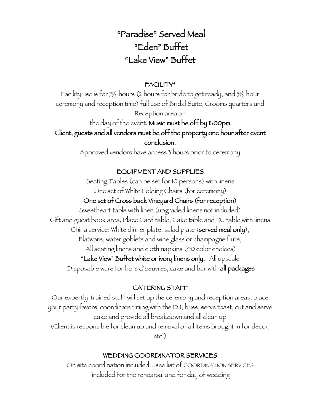# "Paradise" Served Meal "Eden" Buffet "Lake View" Buffet

## FACILITY\*

Facility use is for  $7\frac{1}{2}$  hours (2 hours for bride to get ready, and  $5\frac{1}{2}$  hour ceremony and reception time) full use of Bridal Suite, Grooms quarters and Reception area on the day of the event. Music must be off by 11:00pm. Client, guests and all vendors must be off the property one hour after event conclusion.

Approved vendors have access 3 hours prior to ceremony.

## EQUIPMENT AND SUPPLIES

Seating Tables (can be set for 10 persons) with linens One set of White Folding Chairs (for ceremony)

## One set of Cross back Vineyard Chairs (for reception)

Sweetheart table with linen (upgraded linens not included) Gift and guest book area, Place Card table, Cake table and DJ table with linens China service: White dinner plate, salad plate (served meal only), Flatware, water goblets and wine glass or champagne flute, All seating linens and cloth napkins (40 color choices) "Lake View" Buffet white or ivory linens only. All upscale Disposable ware for hors d'oeuvres, cake and bar with all packages

## CATERING STAFF

Our expertly-trained staff will set up the ceremony and reception areas, place your party favors, coordinate timing with the DJ, buss, serve toast, cut and serve cake and provide all breakdown and all clean up (Client is responsible for clean up and removal of all items brought in for decor, etc.)

## WEDDING COORDINATOR SERVICES

On site coordination included…see list of COORDINATION SERVICES included for the rehearsal and for day of wedding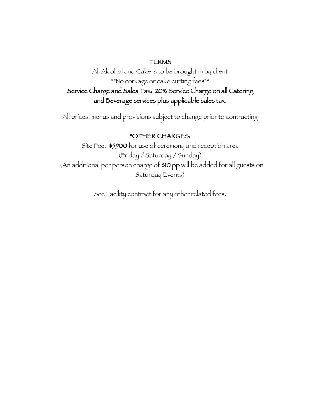#### TERMS

All Alcohol and Cake is to be brought in by client \*\*No corkage or cake cutting fees\*\* Service Charge and Sales Tax: 20% Service Charge on all Catering and Beverage services plus applicable sales tax.

All prices, menus and provisions subject to change prior to contracting

## \*OTHER CHARGES:

Site Fee: \$5900 for use of ceremony and reception area (Friday / Saturday / Sunday) (An additional per person charge of \$10 pp will be added for all guests on Saturday Events)

See Facility contract for any other related fees.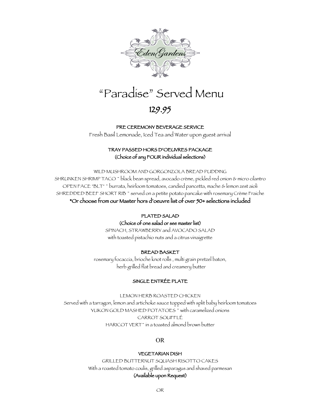

# "Paradise" Served Menu

## 129.95

#### PRE CEREMONY BEVERAGE SERVICE

Fresh Basil Lemonade, Iced Tea and Water upon guest arrival

#### TRAY PASSED HORS D'OEUVRES PACKAGE (Choice of any FOUR individual selections)

WILD MUSHROOM AND GORGONZOLA BREAD PUDDING SHRUNKEN SHRIMP TACO ~ black bean spread, avocado crème, pickled red onion & micro cilantro OPEN FACE "BLT" ~ burrata, heirloom tomatoes, candied pancetta, mache & lemon zest aioli SHREDDED BEEF SHORT RIB<sup>\*</sup> served on a petite potato pancake with rosemary Crème Fraiche \*Or choose from our Master hors d'oeuvre list of over 50+ selections included

#### PLATED SALAD

#### (Choice of one salad or see master list)

SPINACH, STRAWBERRY and AVOCADO SALAD with toasted pistachio nuts and a citrus vinaigrette

#### BREAD BASKET

rosemary focaccia, brioche knot rolls , multi grain pretzel baton, herb grilled flat bread and creamery butter

#### SINGLE ENTRÉE PLATE

LEMON HERB ROASTED CHICKEN Served with a tarragon, lemon and artichoke sauce topped with split baby heirloom tomatoes YUKON GOLD MASHED POTATOES<sup>\*</sup> with caramelized onions CARROT SOUFFLÉ HARICOT VERT~ in a toasted almond brown butter

#### OR

#### VEGETARIAN DISH

GRILLED BUTTERNUT SQUASH RISOTTO CAKES With a roasted tomato coulis, grilled asparagus and shaved parmesan (Available upon Request)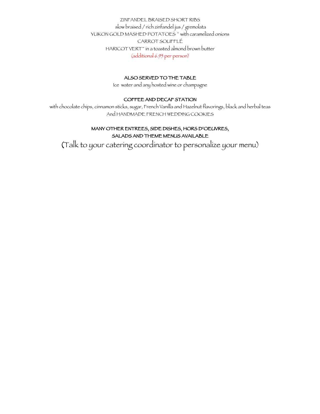ZINFANDEL BRAISED SHORT RIBS slow braised / rich zinfandel jus / gremolata YUKON GOLD MASHED POTATOES<sup>\*</sup> with caramelized onions CARROT SOUFFLÉ HARICOT VERT~ in a toasted almond brown butter (additional 6.95 per person)

#### ALSO SERVED TO THE TABLE

Ice water and any hosted wine or champagne

#### COFFEE AND DECAF STATION

with chocolate chips, cinnamon sticks, sugar, French Vanilla and Hazelnut flavorings, black and herbal teas And HANDMADE FRENCH WEDDING COOKIES

#### MANY OTHER ENTREES, SIDE DISHES, HORS D'OEUVRES, SALADS AND THEME MENUS AVAILABLE

(Talk to your catering coordinator to personalize your menu)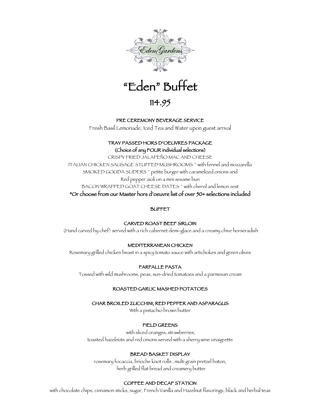



## 114.95

#### PRE CEREMONY BEVERAGE SERVICE

Fresh Basil Lemonade, Iced Tea and Water upon guest arrival

#### TRAY PASSED HORS D'OEUVRES PACKAGE (Choice of any FOUR individual selections)

CRISPY FRIED JALAPEÑO MAC AND CHEESE ITALIAN CHICKEN SAUSAGE STUFFED MUSHROOMS ~ with fennel and mozzarella SMOKED GOUDA SLIDERS ~ petite burger with caramelized onions and Red pepper aioli on a mini sesame bun BACON WRAPPED GOAT CHEESE DATES<sup>\*</sup> with chervil and lemon zest \*Or choose from our Master hors d'oeuvre list of over 50+ selections included

#### BUFFET

#### CARVED ROAST BEEF SIRLOIN

(Hand carved by chef) served with a rich cabernet demi-glace and a creamy chive horseradish

#### MEDITERRANEAN CHICKEN

Rosemary grilled chicken beast in a spicy tomato sauce with artichokes and green olives

#### FARFALLE PASTA

Tossed with wild mushrooms, peas, sun-dried tomatoes and a parmesan cream

#### ROASTED GARLIC MASHED POTATOES

#### CHAR BROILED ZUCCHINI, RED PEPPER AND ASPARAGUS

With a pistachio brown butter

#### FIELD GREENS

with sliced oranges, strawberries, toasted hazelnuts and red onions served with a sherry wine vinaigrette

#### BREAD BASKET DISPLAY

rosemary focaccia, brioche knot rolls , multi grain pretzel baton, herb grilled flat bread and creamery butter

#### COFFEE AND DECAF STATION

with chocolate chips, cinnamon sticks, sugar, French Vanilla and Hazelnut flavorings, black and herbal teas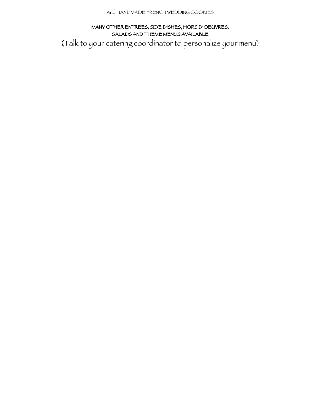#### MANY OTHER ENTREES, SIDE DISHES, HORS D'OEUVRES, SALADS AND THEME MENUS AVAILABLE

(Talk to your catering coordinator to personalize your menu)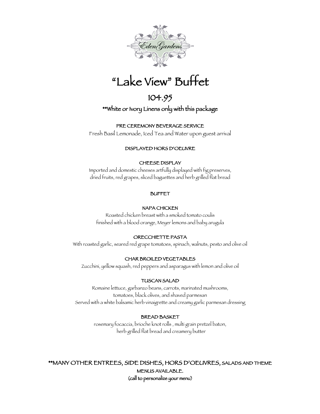

## $\overline{a}$ "Lake View" Buffet

## 104.95

## \*\*White or Ivory Linens only with this package

#### PRE CEREMONY BEVERAGE SERVICE

Fresh Basil Lemonade, Iced Tea and Water upon guest arrival

#### DISPLAYED HORS D'OEUVRE

#### CHEESE DISPLAY

Imported and domestic cheeses artfully displayed with fig preserves, dried fruits, red grapes, sliced baguettes and herb grilled flat bread

#### BUFFET

#### NAPA CHICKEN

Roasted chicken breast with a smoked tomato coulis finished with a blood orange, Meyer lemons and baby arugula

#### ORECCHIETTE PASTA

With roasted garlic, seared red grape tomatoes, spinach, walnuts, pesto and olive oil

#### CHAR BROILED VEGETABLES

Zucchini, yellow squash, red peppers and asparagus with lemon and olive oil

#### TUSCAN SALAD

Romaine lettuce, garbanzo beans, carrots, marinated mushrooms, tomatoes, black olives, and shaved parmesan Served with a white balsamic herb vinaigrette and creamy garlic parmesan dressing

#### BREAD BASKET

rosemary focaccia, brioche knot rolls , multi grain pretzel baton, herb grilled flat bread and creamery butter

\*\*MANY OTHER ENTREES, SIDE DISHES, HORS D'OEUVRES, SALADS AND THEME MENUS AVAILABLE. (call to personalize your menu)